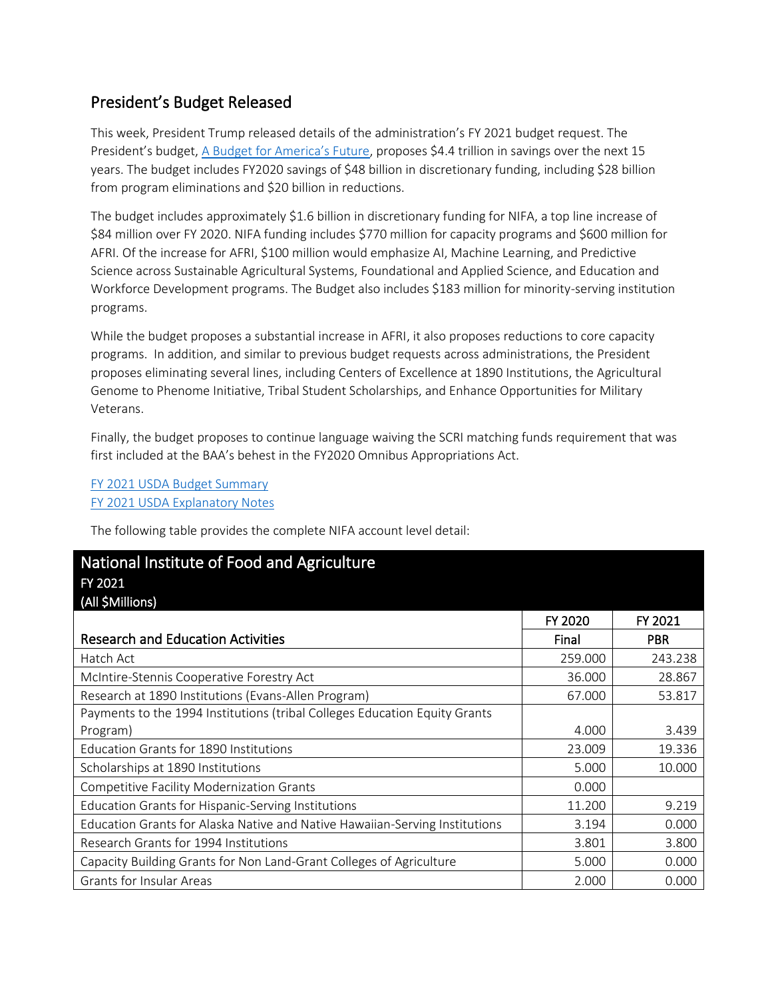## President's Budget Released

This week, President Trump released details of the administration's FY 2021 budget request. The President's budget, [A Budget for America's Future](https://www.whitehouse.gov/wp-content/uploads/2020/02/budget_fy21.pdf), proposes \$4.4 trillion in savings over the next 15 years. The budget includes FY2020 savings of \$48 billion in discretionary funding, including \$28 billion from program eliminations and \$20 billion in reductions.

The budget includes approximately \$1.6 billion in discretionary funding for NIFA, a top line increase of \$84 million over FY 2020. NIFA funding includes \$770 million for capacity programs and \$600 million for AFRI. Of the increase for AFRI, \$100 million would emphasize AI, Machine Learning, and Predictive Science across Sustainable Agricultural Systems, Foundational and Applied Science, and Education and Workforce Development programs. The Budget also includes \$183 million for minority-serving institution programs.

While the budget proposes a substantial increase in AFRI, it also proposes reductions to core capacity programs. In addition, and similar to previous budget requests across administrations, the President proposes eliminating several lines, including Centers of Excellence at 1890 Institutions, the Agricultural Genome to Phenome Initiative, Tribal Student Scholarships, and Enhance Opportunities for Military Veterans.

Finally, the budget proposes to continue language waiving the SCRI matching funds requirement that was first included at the BAA's behest in the FY2020 Omnibus Appropriations Act.

[FY 2021 USDA Budget Summary](https://www.usda.gov/sites/default/files/documents/usda-fy2021-budget-summary.pdf) [FY 2021 USDA Explanatory Notes](https://www.usda.gov/sites/default/files/documents/ree-nifa-fy2021-congressional-justifications.pdf)

The following table provides the complete NIFA account level detail:

| National Institute of Food and Agriculture                                  |         |            |
|-----------------------------------------------------------------------------|---------|------------|
| FY 2021                                                                     |         |            |
| (All \$Millions)                                                            |         |            |
|                                                                             | FY 2020 | FY 2021    |
| <b>Research and Education Activities</b>                                    | Final   | <b>PBR</b> |
| Hatch Act                                                                   | 259.000 | 243.238    |
| McIntire-Stennis Cooperative Forestry Act                                   | 36.000  | 28.867     |
| Research at 1890 Institutions (Evans-Allen Program)                         | 67.000  | 53.817     |
| Payments to the 1994 Institutions (tribal Colleges Education Equity Grants  |         |            |
| Program)                                                                    | 4.000   | 3.439      |
| Education Grants for 1890 Institutions                                      | 23.009  | 19.336     |
| Scholarships at 1890 Institutions                                           | 5.000   | 10.000     |
| <b>Competitive Facility Modernization Grants</b>                            | 0.000   |            |
| Education Grants for Hispanic-Serving Institutions                          | 11.200  | 9.219      |
| Education Grants for Alaska Native and Native Hawaiian-Serving Institutions | 3.194   | 0.000      |
| Research Grants for 1994 Institutions                                       | 3.801   | 3.800      |
| Capacity Building Grants for Non Land-Grant Colleges of Agriculture         | 5.000   | 0.000      |
| <b>Grants for Insular Areas</b>                                             | 2.000   | 0.000      |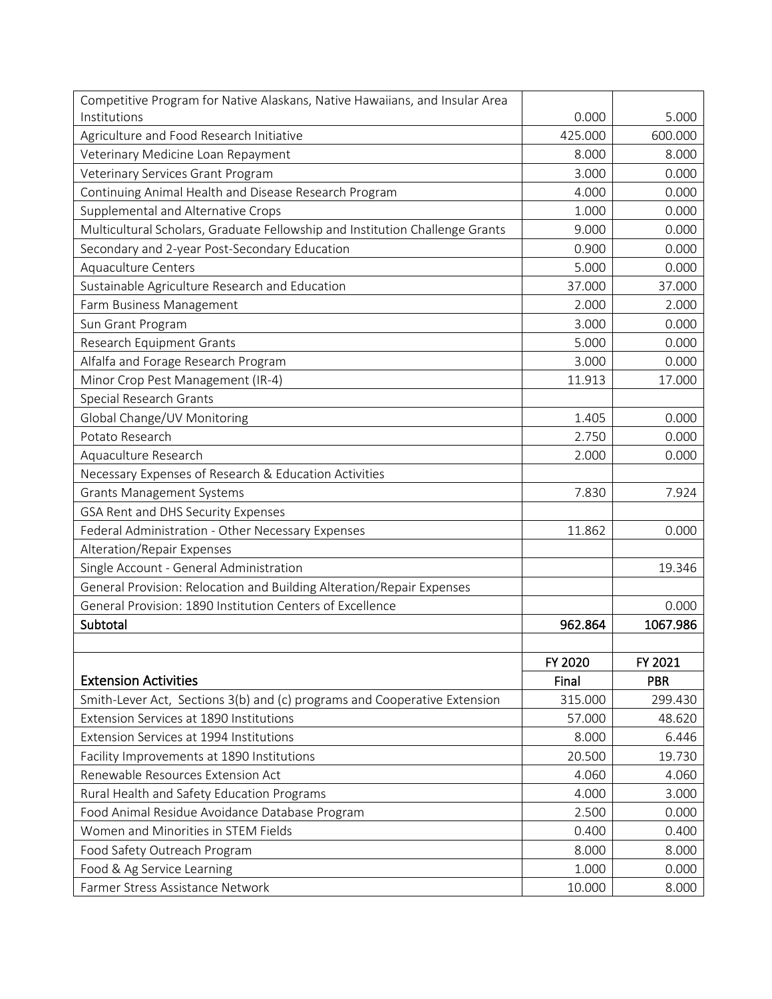| Competitive Program for Native Alaskans, Native Hawaiians, and Insular Area  |         |            |
|------------------------------------------------------------------------------|---------|------------|
| Institutions                                                                 | 0.000   | 5.000      |
| Agriculture and Food Research Initiative                                     | 425.000 | 600.000    |
| Veterinary Medicine Loan Repayment                                           | 8.000   | 8.000      |
| Veterinary Services Grant Program                                            | 3.000   | 0.000      |
| Continuing Animal Health and Disease Research Program                        | 4.000   | 0.000      |
| Supplemental and Alternative Crops                                           | 1.000   | 0.000      |
| Multicultural Scholars, Graduate Fellowship and Institution Challenge Grants | 9.000   | 0.000      |
| Secondary and 2-year Post-Secondary Education                                | 0.900   | 0.000      |
| <b>Aquaculture Centers</b>                                                   | 5.000   | 0.000      |
| Sustainable Agriculture Research and Education                               | 37.000  | 37.000     |
| Farm Business Management                                                     | 2.000   | 2.000      |
| Sun Grant Program                                                            | 3.000   | 0.000      |
| Research Equipment Grants                                                    | 5.000   | 0.000      |
| Alfalfa and Forage Research Program                                          | 3.000   | 0.000      |
| Minor Crop Pest Management (IR-4)                                            | 11.913  | 17.000     |
| Special Research Grants                                                      |         |            |
| Global Change/UV Monitoring                                                  | 1.405   | 0.000      |
| Potato Research                                                              | 2.750   | 0.000      |
| Aquaculture Research                                                         | 2.000   | 0.000      |
| Necessary Expenses of Research & Education Activities                        |         |            |
| <b>Grants Management Systems</b>                                             | 7.830   | 7.924      |
| GSA Rent and DHS Security Expenses                                           |         |            |
| Federal Administration - Other Necessary Expenses                            | 11.862  | 0.000      |
| Alteration/Repair Expenses                                                   |         |            |
| Single Account - General Administration                                      |         | 19.346     |
| General Provision: Relocation and Building Alteration/Repair Expenses        |         |            |
| General Provision: 1890 Institution Centers of Excellence                    |         | 0.000      |
| Subtotal                                                                     | 962.864 | 1067.986   |
|                                                                              |         |            |
|                                                                              | FY 2020 | FY 2021    |
| <b>Extension Activities</b>                                                  | Final   | <b>PBR</b> |
| Smith-Lever Act, Sections 3(b) and (c) programs and Cooperative Extension    | 315.000 | 299.430    |
| Extension Services at 1890 Institutions                                      | 57.000  | 48.620     |
| Extension Services at 1994 Institutions                                      | 8.000   | 6.446      |
| Facility Improvements at 1890 Institutions                                   | 20.500  | 19.730     |
| Renewable Resources Extension Act                                            | 4.060   | 4.060      |
| Rural Health and Safety Education Programs                                   | 4.000   | 3.000      |
| Food Animal Residue Avoidance Database Program                               | 2.500   | 0.000      |
| Women and Minorities in STEM Fields                                          | 0.400   | 0.400      |
| Food Safety Outreach Program                                                 | 8.000   | 8.000      |
| Food & Ag Service Learning                                                   | 1.000   | 0.000      |
| Farmer Stress Assistance Network                                             | 10.000  | 8.000      |